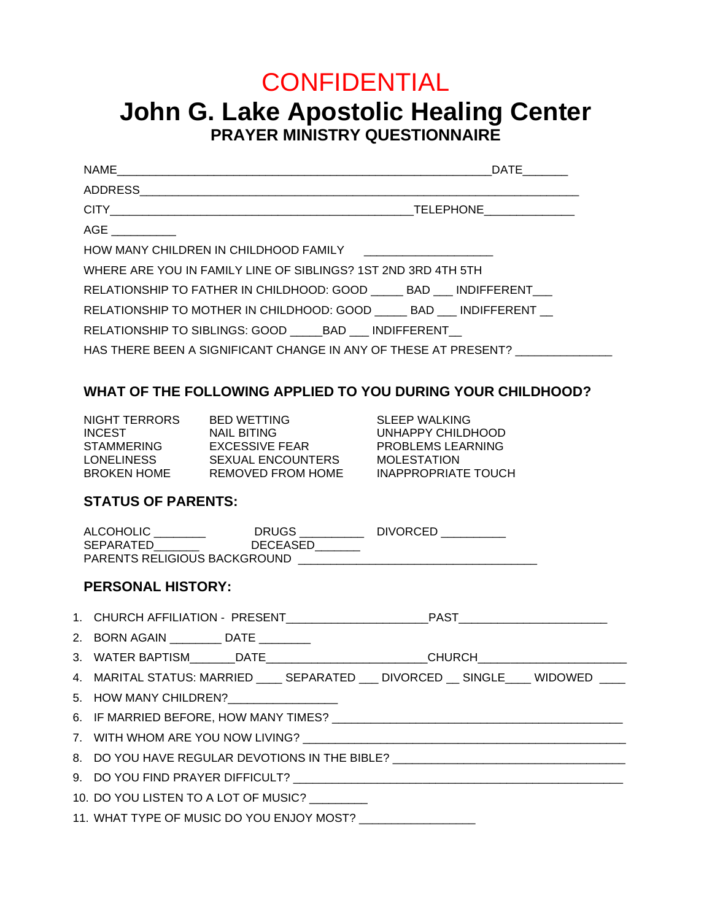# **CONFIDENTIAL**

## **John G. Lake Apostolic Healing Center PRAYER MINISTRY QUESTIONNAIRE**

|                                                                                  | <b>DATE</b> |
|----------------------------------------------------------------------------------|-------------|
|                                                                                  |             |
|                                                                                  |             |
|                                                                                  |             |
| HOW MANY CHILDREN IN CHILDHOOD FAMILY _____________________                      |             |
| WHERE ARE YOU IN FAMILY LINE OF SIBLINGS? 1ST 2ND 3RD 4TH 5TH                    |             |
| RELATIONSHIP TO FATHER IN CHILDHOOD: GOOD BAD INDIFFERENT                        |             |
| RELATIONSHIP TO MOTHER IN CHILDHOOD: GOOD BAD INDIFFERENT                        |             |
| RELATIONSHIP TO SIBLINGS: GOOD BAD INDIFFERENT                                   |             |
| HAS THERE BEEN A SIGNIFICANT CHANGE IN ANY OF THESE AT PRESENT? ________________ |             |

## **WHAT OF THE FOLLOWING APPLIED TO YOU DURING YOUR CHILDHOOD?**

| NIGHT TERRORS      | <b>BED WETTING</b>       |
|--------------------|--------------------------|
| <b>INCEST</b>      | <b>NAIL BITING</b>       |
| <b>STAMMERING</b>  | EXCESSIVE FEAR           |
| <b>LONELINESS</b>  | <b>SEXUAL ENCOUNTERS</b> |
| <b>BROKEN HOME</b> | REMOVED FROM HOM         |

SLEEP WALKING UNHAPPY CHILDHOOD PROBLEMS LEARNING<br>STAMPLESTATION **MOLESTATION** E INAPPROPRIATE TOUCH

## **STATUS OF PARENTS:**

| ALCOHOLIC                           | <b>DRUGS</b>    | <b>DIVORCED</b> |
|-------------------------------------|-----------------|-----------------|
| SEPARATED                           | <b>DECEASED</b> |                 |
| <b>PARENTS RELIGIOUS BACKGROUND</b> |                 |                 |

## **PERSONAL HISTORY:**

- 2. BORN AGAIN \_\_\_\_\_\_\_ DATE
- 3. WATER BAPTISM DATE DATE CHURCH

| 4. MARITAL STATUS: MARRIED | SEPARATED | <b>DIVORCED</b> | SINGLE | <b>WIDOWED</b> |  |
|----------------------------|-----------|-----------------|--------|----------------|--|
|                            |           |                 |        |                |  |

- 5. HOW MANY CHILDREN?
- 6. IF MARRIED BEFORE, HOW MANY TIMES? \_\_\_\_\_\_\_\_\_\_\_\_\_\_\_\_\_\_\_\_\_\_\_\_\_\_\_\_\_\_\_\_\_\_\_\_\_\_\_\_\_\_\_\_\_
- 7. WITH WHOM ARE YOU NOW LIVING? \_\_\_\_\_\_\_\_\_\_\_\_\_\_\_\_\_\_\_\_\_\_\_\_\_\_\_\_\_\_\_\_\_\_\_\_\_\_\_\_\_\_\_\_\_\_\_\_\_\_

| 8. DO YOU HAVE REGULAR DEVOTIONS IN THE BIBLE? |
|------------------------------------------------|
|------------------------------------------------|

9. DO YOU FIND PRAYER DIFFICULT? \_\_\_\_\_\_\_\_\_\_\_\_\_\_\_\_\_\_\_\_\_\_\_\_\_\_\_\_\_\_\_\_\_\_\_\_\_\_\_\_\_\_\_\_\_\_\_\_\_\_\_

| 10. DO YOU LISTEN TO A LOT OF MUSIC? |  |
|--------------------------------------|--|
|--------------------------------------|--|

11. WHAT TYPE OF MUSIC DO YOU ENJOY MOST? \_\_\_\_\_\_\_\_\_\_\_\_\_\_\_\_\_\_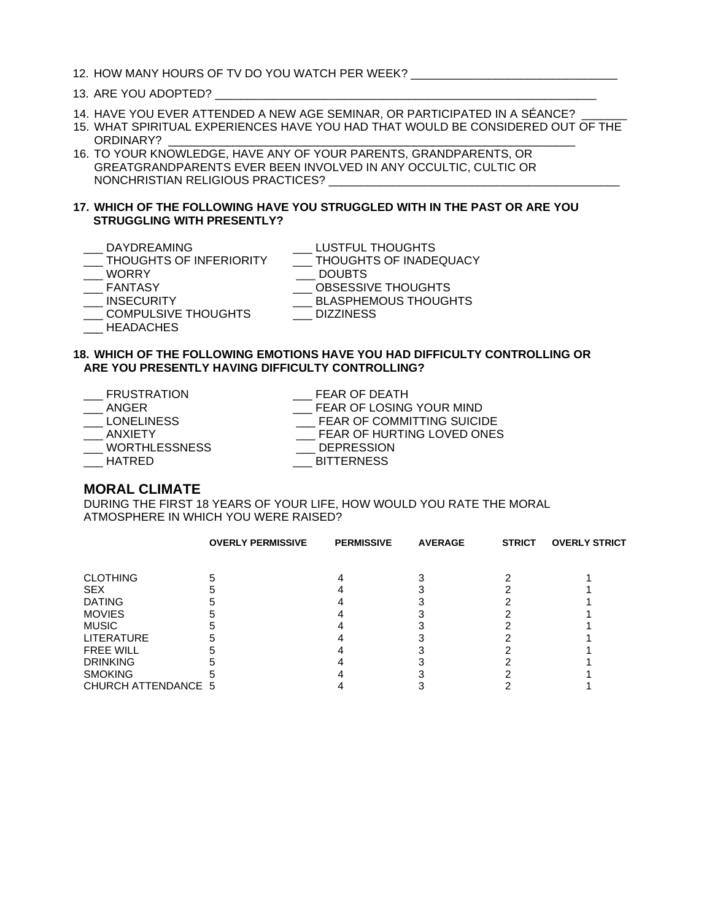#### 13. ARE YOU ADOPTED?

- 14. HAVE YOU EVER ATTENDED A NEW AGE SEMINAR, OR PARTICIPATED IN A SÉANCE? \_\_\_\_\_\_\_
- 15. WHAT SPIRITUAL EXPERIENCES HAVE YOU HAD THAT WOULD BE CONSIDERED OUT OF THE ORDINARY?
- 16. TO YOUR KNOWLEDGE, HAVE ANY OF YOUR PARENTS, GRANDPARENTS, OR GREATGRANDPARENTS EVER BEEN INVOLVED IN ANY OCCULTIC, CULTIC OR NONCHRISTIAN RELIGIOUS PRACTICES? \_\_\_\_\_\_\_\_\_\_\_\_\_\_\_\_\_\_\_\_\_\_\_\_\_\_\_\_\_\_\_\_\_\_\_\_\_\_\_\_\_\_\_\_\_

#### **17. WHICH OF THE FOLLOWING HAVE YOU STRUGGLED WITH IN THE PAST OR ARE YOU STRUGGLING WITH PRESENTLY?**

- 
- 
- \_ DAYDREAMING \_\_\_ LUSTFUL THOUGHTS<br>\_ THOUGHTS OF INFERIORITY \_\_\_ THOUGHTS OF INADEQUACY \_\_\_ THOUGHTS OF INFERIORITY<br>\_\_\_ WORRY
- 
- $\_\_$  DOUBTS
- \_\_\_ FANTASY \_\_\_\_ OBSESSIVE THOUGHTS<br>\_\_\_ INSECURITY \_\_\_\_ BLASPHEMOUS THOUGH
- 
- COMPULSIVE THOUGHTS
- \_\_\_ BLASPHEMOUS THOUGHTS<br>\_\_\_ DIZZINESS

\_\_\_ HEADACHES

#### **18. WHICH OF THE FOLLOWING EMOTIONS HAVE YOU HAD DIFFICULTY CONTROLLING OR ARE YOU PRESENTLY HAVING DIFFICULTY CONTROLLING?**

| <b>FRUSTRATION</b>   | FEAR OF DEATH                     |
|----------------------|-----------------------------------|
| ANGER                | FEAR OF LOSING YOUR MIND          |
| <b>LONELINESS</b>    | <b>FEAR OF COMMITTING SUICIDE</b> |
| ANXIFTY              | FEAR OF HURTING LOVED ONES        |
| <b>WORTHLESSNESS</b> | <b>DEPRESSION</b>                 |
| HATRED               | <b>BITTERNESS</b>                 |

#### **MORAL CLIMATE**

DURING THE FIRST 18 YEARS OF YOUR LIFE, HOW WOULD YOU RATE THE MORAL ATMOSPHERE IN WHICH YOU WERE RAISED?

|                     | <b>OVERLY PERMISSIVE</b> | <b>PERMISSIVE</b> | <b>AVERAGE</b> | <b>STRICT</b> | <b>OVERLY STRICT</b> |
|---------------------|--------------------------|-------------------|----------------|---------------|----------------------|
|                     |                          |                   |                |               |                      |
| <b>CLOTHING</b>     |                          |                   |                |               |                      |
| <b>SEX</b>          |                          |                   |                |               |                      |
| <b>DATING</b>       |                          |                   |                |               |                      |
| <b>MOVIES</b>       |                          |                   |                |               |                      |
| <b>MUSIC</b>        |                          |                   |                |               |                      |
| <b>LITERATURE</b>   |                          |                   |                |               |                      |
| <b>FREE WILL</b>    |                          |                   |                |               |                      |
| <b>DRINKING</b>     |                          |                   |                |               |                      |
| <b>SMOKING</b>      |                          |                   |                |               |                      |
| CHURCH ATTENDANCE 5 |                          |                   |                |               |                      |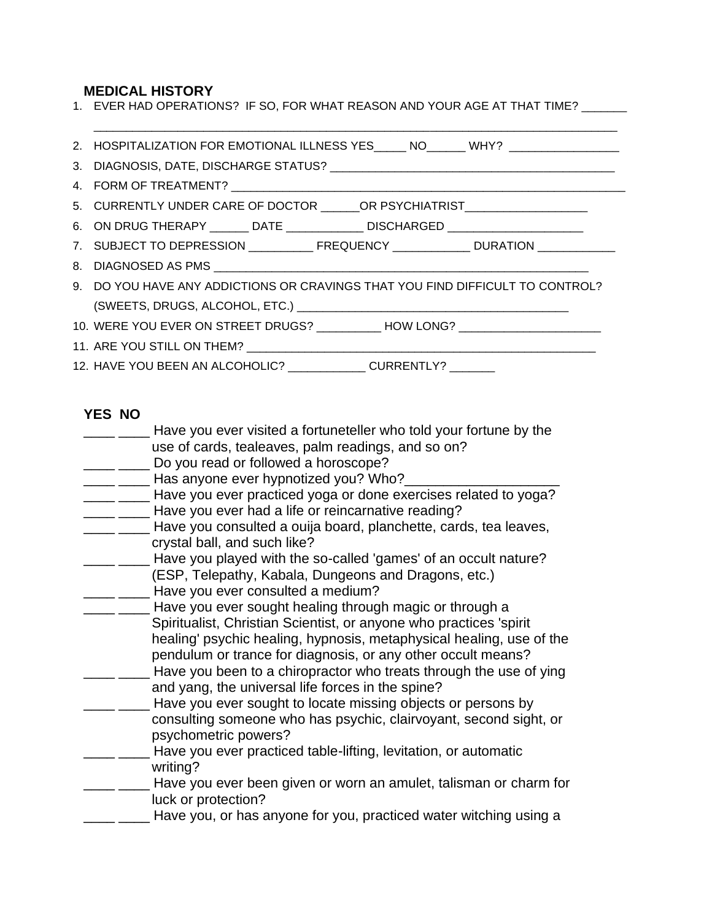### **MEDICAL HISTORY**

| 1. EVER HAD OPERATIONS? IF SO, FOR WHAT REASON AND YOUR AGE AT THAT TIME? ______   |
|------------------------------------------------------------------------------------|
| 2. HOSPITALIZATION FOR EMOTIONAL ILLNESS YES _____ NO______ WHY? _______________   |
|                                                                                    |
|                                                                                    |
| 5. CURRENTLY UNDER CARE OF DOCTOR _______ OR PSYCHIATRIST______________________    |
| 6. ON DRUG THERAPY _______ DATE _____________ DISCHARGED _______________________   |
| 7. SUBJECT TO DEPRESSION _____________FREQUENCY ______________ DURATION __________ |
|                                                                                    |
| 9. DO YOU HAVE ANY ADDICTIONS OR CRAVINGS THAT YOU FIND DIFFICULT TO CONTROL?      |
|                                                                                    |
| 10. WERE YOU EVER ON STREET DRUGS? ___________ HOW LONG? _______________________   |
|                                                                                    |
| 12. HAVE YOU BEEN AN ALCOHOLIC? _____________ CURRENTLY? _______                   |

## **YES NO**

| Have you ever visited a fortuneteller who told your fortune by the                                                      |
|-------------------------------------------------------------------------------------------------------------------------|
| use of cards, tealeaves, palm readings, and so on?                                                                      |
| Do you read or followed a horoscope?                                                                                    |
| Has anyone ever hypnotized you? Who?_                                                                                   |
| Have you ever practiced yoga or done exercises related to yoga?                                                         |
| Have you ever had a life or reincarnative reading?                                                                      |
| Have you consulted a ouija board, planchette, cards, tea leaves,<br>crystal ball, and such like?                        |
| Have you played with the so-called 'games' of an occult nature?                                                         |
| (ESP, Telepathy, Kabala, Dungeons and Dragons, etc.)                                                                    |
| Have you ever consulted a medium?                                                                                       |
| Have you ever sought healing through magic or through a                                                                 |
| Spiritualist, Christian Scientist, or anyone who practices 'spirit                                                      |
| healing' psychic healing, hypnosis, metaphysical healing, use of the                                                    |
| pendulum or trance for diagnosis, or any other occult means?                                                            |
| Have you been to a chiropractor who treats through the use of ying<br>and yang, the universal life forces in the spine? |
| Have you ever sought to locate missing objects or persons by                                                            |
| consulting someone who has psychic, clairvoyant, second sight, or<br>psychometric powers?                               |
| Have you ever practiced table-lifting, levitation, or automatic                                                         |
| writing?                                                                                                                |
| Have you ever been given or worn an amulet, talisman or charm for<br>luck or protection?                                |
| Have you, or has anyone for you, practiced water witching using a                                                       |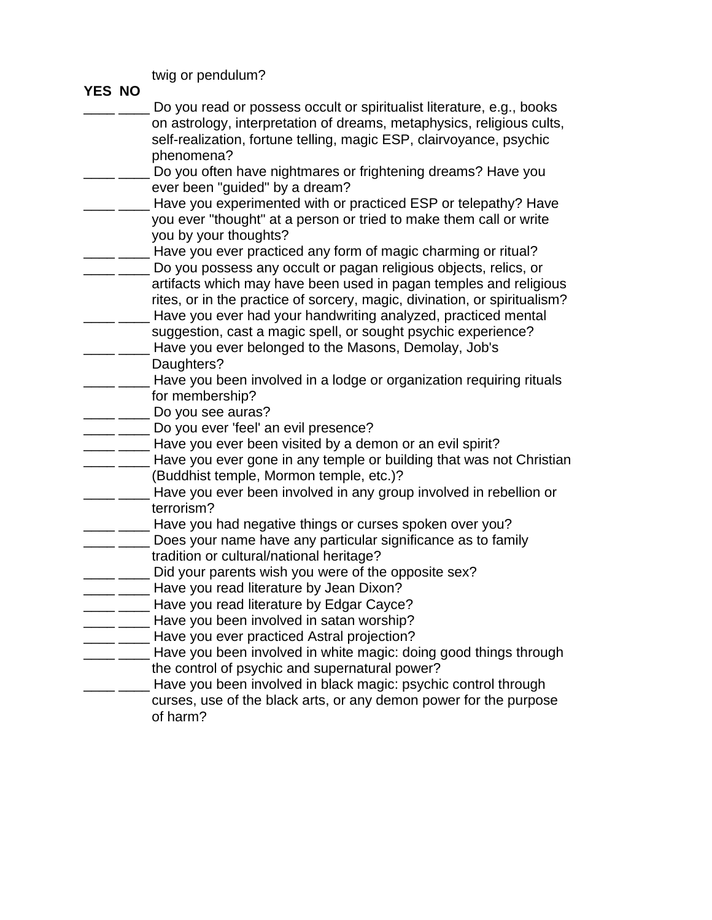twig or pendulum?

| YES NO |                                                                                 |
|--------|---------------------------------------------------------------------------------|
|        | Do you read or possess occult or spiritualist literature, e.g., books           |
|        | on astrology, interpretation of dreams, metaphysics, religious cults,           |
|        | self-realization, fortune telling, magic ESP, clairvoyance, psychic             |
|        | phenomena?                                                                      |
|        | Do you often have nightmares or frightening dreams? Have you                    |
|        | ever been "guided" by a dream?                                                  |
|        | Have you experimented with or practiced ESP or telepathy? Have                  |
|        | you ever "thought" at a person or tried to make them call or write              |
|        | you by your thoughts?                                                           |
|        | Have you ever practiced any form of magic charming or ritual?                   |
|        | Do you possess any occult or pagan religious objects, relics, or                |
|        | artifacts which may have been used in pagan temples and religious               |
|        | rites, or in the practice of sorcery, magic, divination, or spiritualism?       |
|        | Have you ever had your handwriting analyzed, practiced mental                   |
|        | suggestion, cast a magic spell, or sought psychic experience?                   |
|        | Have you ever belonged to the Masons, Demolay, Job's                            |
|        | Daughters?                                                                      |
|        | Have you been involved in a lodge or organization requiring rituals             |
|        | for membership?                                                                 |
|        | Do you see auras?                                                               |
|        | Do you ever 'feel' an evil presence?                                            |
|        | Have you ever been visited by a demon or an evil spirit?                        |
|        | Have you ever gone in any temple or building that was not Christian             |
|        | (Buddhist temple, Mormon temple, etc.)?                                         |
|        | Have you ever been involved in any group involved in rebellion or<br>terrorism? |
|        | Have you had negative things or curses spoken over you?                         |
|        | Does your name have any particular significance as to family                    |
|        | tradition or cultural/national heritage?                                        |
|        | Did your parents wish you were of the opposite sex?                             |
|        | Have you read literature by Jean Dixon?                                         |
|        | Have you read literature by Edgar Cayce?                                        |
|        | Have you been involved in satan worship?                                        |
|        | Have you ever practiced Astral projection?                                      |
|        | Have you been involved in white magic: doing good things through                |
|        | the control of psychic and supernatural power?                                  |
|        | Have you been involved in black magic: psychic control through                  |
|        | curses, use of the black arts, or any demon power for the purpose               |
|        | of harm?                                                                        |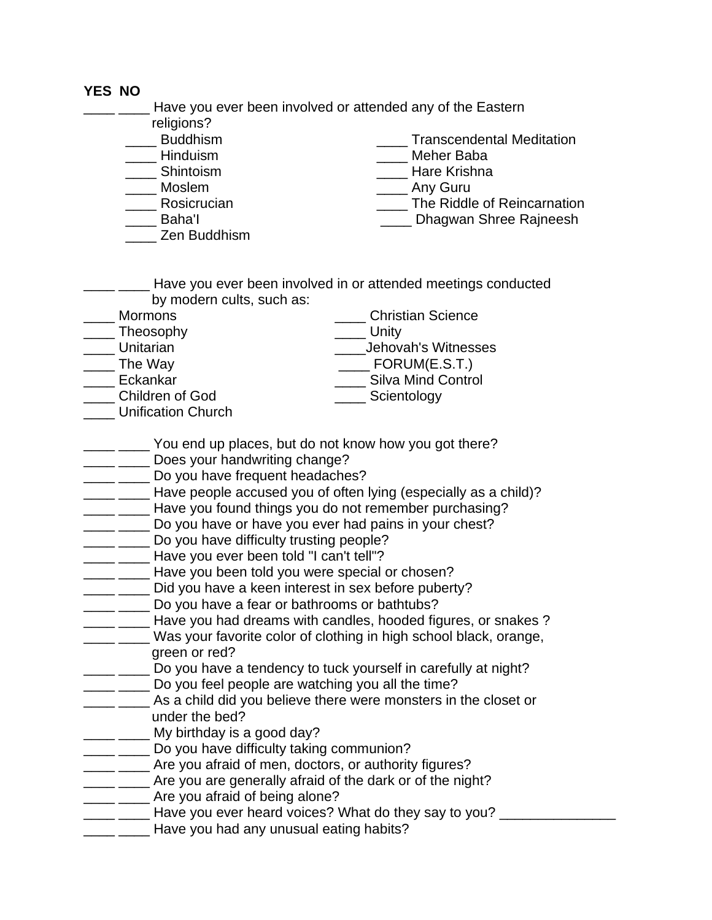## **YES NO**

<u>\_\_\_</u> \_\_\_\_ Have you ever been involved or attended any of the Eastern

- religions?<br>\_\_\_\_\_ Buddhism
- 
- 
- 
- 
- 
- \_\_\_\_ Zen Buddhism

**Transcendental Meditation** 

- \_\_\_\_ Hinduism \_\_\_\_ Meher Baba
- \_\_\_\_ Shintoism \_\_\_\_ Hare Krishna
	- \_\_\_\_ Any Guru
	- Rosicrucian **Network** The Riddle of Reincarnation
- \_\_\_\_ Baha'I \_\_\_\_ Dhagwan Shree Rajneesh
- \_\_\_\_ \_\_\_\_ Have you ever been involved in or attended meetings conducted by modern cults, such as:

| <b>Mormons</b>  | <b>Christian Science</b>  |
|-----------------|---------------------------|
| Theosophy       | Unity                     |
| Unitarian       | Jehovah's Witnesses       |
| The Way         | FORUM(E.S.T.)             |
| Eckankar        | <b>Silva Mind Control</b> |
| Children of God | Scientology               |

- \_\_\_\_ Unification Church
- \_\_\_\_ \_\_\_\_ You end up places, but do not know how you got there?
- \_\_\_\_ \_\_\_\_ Does your handwriting change?
- **\_\_\_\_** Do you have frequent headaches?
- \_\_\_\_ \_\_\_\_ Have people accused you of often lying (especially as a child)?
- \_\_\_\_ \_\_\_\_ Have you found things you do not remember purchasing?
- **\_\_\_\_** \_\_\_\_ Do you have or have you ever had pains in your chest?
- **\_\_\_\_** \_\_\_\_ Do you have difficulty trusting people?
- \_\_\_\_ \_\_\_\_ Have you ever been told "I can't tell"?
- \_\_\_\_ \_\_\_\_ Have you been told you were special or chosen?
- \_\_\_\_ \_\_\_\_ Did you have a keen interest in sex before puberty?
- \_\_\_\_ \_\_\_\_ Do you have a fear or bathrooms or bathtubs?
- **EXECUTE:** Have you had dreams with candles, hooded figures, or snakes?
- \_\_\_\_ \_\_\_\_ Was your favorite color of clothing in high school black, orange, green or red?
- **\_\_\_\_** \_\_\_\_ Do you have a tendency to tuck yourself in carefully at night?
- **The Long-Long vices** Do you feel people are watching you all the time?
- **EXECUTE:** As a child did you believe there were monsters in the closet or under the bed?
- \_\_\_\_ \_\_\_\_ My birthday is a good day?
- \_\_\_\_ \_\_\_\_ Do you have difficulty taking communion?
- \_\_\_\_ \_\_\_\_ Are you afraid of men, doctors, or authority figures?
- \_\_\_\_ \_\_\_\_ Are you are generally afraid of the dark or of the night?
- \_\_\_\_ \_\_\_\_ Are you afraid of being alone?
- $\frac{1}{2}$   $\frac{1}{2}$  Have you ever heard voices? What do they say to you?  $\frac{1}{2}$
- Have you had any unusual eating habits?